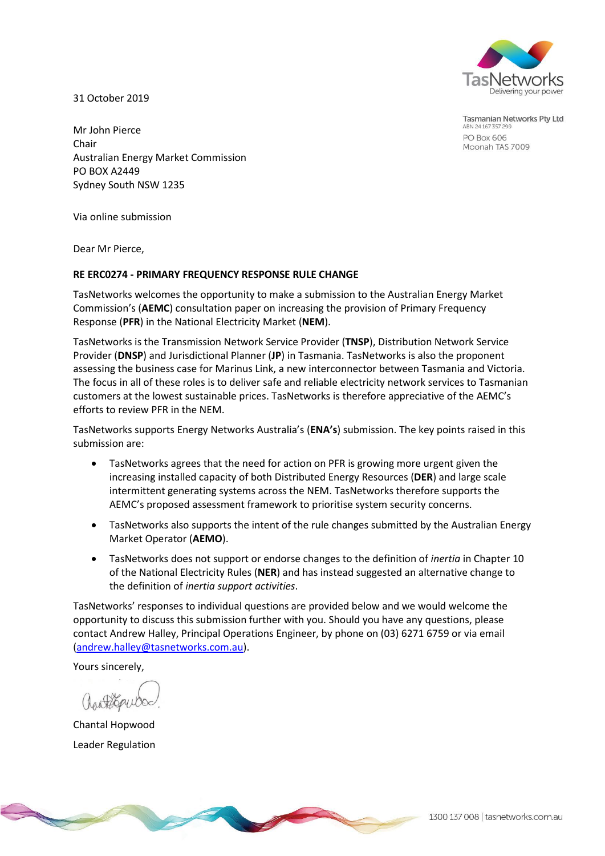

31 October 2019

Tasmanian Networks Pty Ltd ABN 24 167 357 299 PO Box 606 Moonah TAS 7009

Mr John Pierce Chair Australian Energy Market Commission PO BOX A2449 Sydney South NSW 1235

Via online submission

Dear Mr Pierce,

#### **RE ERC0274 - PRIMARY FREQUENCY RESPONSE RULE CHANGE**

TasNetworks welcomes the opportunity to make a submission to the Australian Energy Market Commission's (**AEMC**) consultation paper on increasing the provision of Primary Frequency Response (**PFR**) in the National Electricity Market (**NEM**).

TasNetworks is the Transmission Network Service Provider (**TNSP**), Distribution Network Service Provider (**DNSP**) and Jurisdictional Planner (**JP**) in Tasmania. TasNetworks is also the proponent assessing the business case for Marinus Link, a new interconnector between Tasmania and Victoria. The focus in all of these roles is to deliver safe and reliable electricity network services to Tasmanian customers at the lowest sustainable prices. TasNetworks is therefore appreciative of the AEMC's efforts to review PFR in the NEM.

TasNetworks supports Energy Networks Australia's (**ENA's**) submission. The key points raised in this submission are:

- TasNetworks agrees that the need for action on PFR is growing more urgent given the increasing installed capacity of both Distributed Energy Resources (**DER**) and large scale intermittent generating systems across the NEM. TasNetworks therefore supports the AEMC's proposed assessment framework to prioritise system security concerns.
- TasNetworks also supports the intent of the rule changes submitted by the Australian Energy Market Operator (**AEMO**).
- TasNetworks does not support or endorse changes to the definition of *inertia* in Chapter 10 of the National Electricity Rules (**NER**) and has instead suggested an alternative change to the definition of *inertia support activities*.

TasNetworks' responses to individual questions are provided below and we would welcome the opportunity to discuss this submission further with you. Should you have any questions, please contact Andrew Halley, Principal Operations Engineer, by phone on (03) 6271 6759 or via email [\(andrew.halley@tasnetworks.com.au\)](mailto:andrew.halley@tasnetworks.com.au).

Yours sincerely,

Chantal Hopwood Leader Regulation

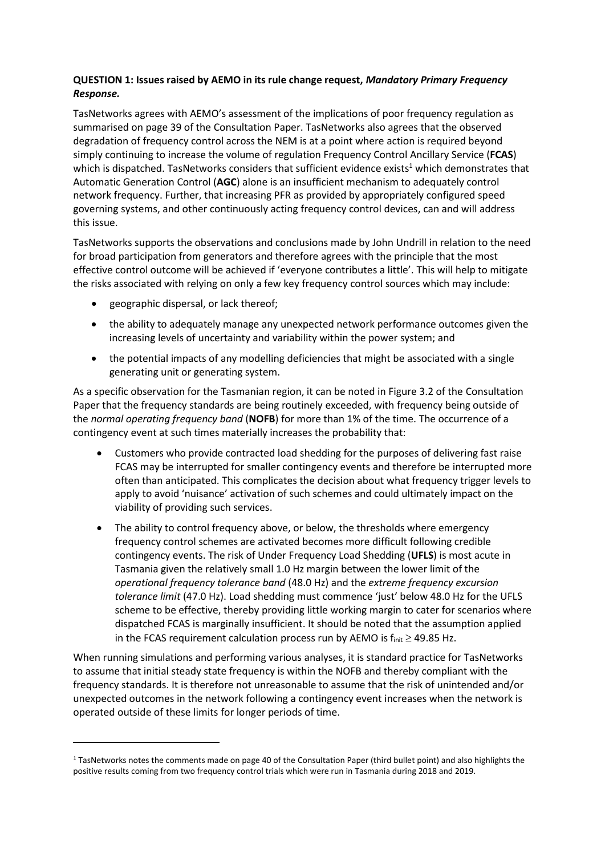## **QUESTION 1: Issues raised by AEMO in its rule change request,** *Mandatory Primary Frequency Response.*

TasNetworks agrees with AEMO's assessment of the implications of poor frequency regulation as summarised on page 39 of the Consultation Paper. TasNetworks also agrees that the observed degradation of frequency control across the NEM is at a point where action is required beyond simply continuing to increase the volume of regulation Frequency Control Ancillary Service (**FCAS**) which is dispatched. TasNetworks considers that sufficient evidence exists<sup>1</sup> which demonstrates that Automatic Generation Control (**AGC**) alone is an insufficient mechanism to adequately control network frequency. Further, that increasing PFR as provided by appropriately configured speed governing systems, and other continuously acting frequency control devices, can and will address this issue.

TasNetworks supports the observations and conclusions made by John Undrill in relation to the need for broad participation from generators and therefore agrees with the principle that the most effective control outcome will be achieved if 'everyone contributes a little'. This will help to mitigate the risks associated with relying on only a few key frequency control sources which may include:

geographic dispersal, or lack thereof;

1

- the ability to adequately manage any unexpected network performance outcomes given the increasing levels of uncertainty and variability within the power system; and
- the potential impacts of any modelling deficiencies that might be associated with a single generating unit or generating system.

As a specific observation for the Tasmanian region, it can be noted in Figure 3.2 of the Consultation Paper that the frequency standards are being routinely exceeded, with frequency being outside of the *normal operating frequency band* (**NOFB**) for more than 1% of the time. The occurrence of a contingency event at such times materially increases the probability that:

- Customers who provide contracted load shedding for the purposes of delivering fast raise FCAS may be interrupted for smaller contingency events and therefore be interrupted more often than anticipated. This complicates the decision about what frequency trigger levels to apply to avoid 'nuisance' activation of such schemes and could ultimately impact on the viability of providing such services.
- The ability to control frequency above, or below, the thresholds where emergency frequency control schemes are activated becomes more difficult following credible contingency events. The risk of Under Frequency Load Shedding (**UFLS**) is most acute in Tasmania given the relatively small 1.0 Hz margin between the lower limit of the *operational frequency tolerance band* (48.0 Hz) and the *extreme frequency excursion tolerance limit* (47.0 Hz). Load shedding must commence 'just' below 48.0 Hz for the UFLS scheme to be effective, thereby providing little working margin to cater for scenarios where dispatched FCAS is marginally insufficient. It should be noted that the assumption applied in the FCAS requirement calculation process run by AEMO is  $f_{init} \ge 49.85$  Hz.

When running simulations and performing various analyses, it is standard practice for TasNetworks to assume that initial steady state frequency is within the NOFB and thereby compliant with the frequency standards. It is therefore not unreasonable to assume that the risk of unintended and/or unexpected outcomes in the network following a contingency event increases when the network is operated outside of these limits for longer periods of time.

<sup>1</sup> TasNetworks notes the comments made on page 40 of the Consultation Paper (third bullet point) and also highlights the positive results coming from two frequency control trials which were run in Tasmania during 2018 and 2019.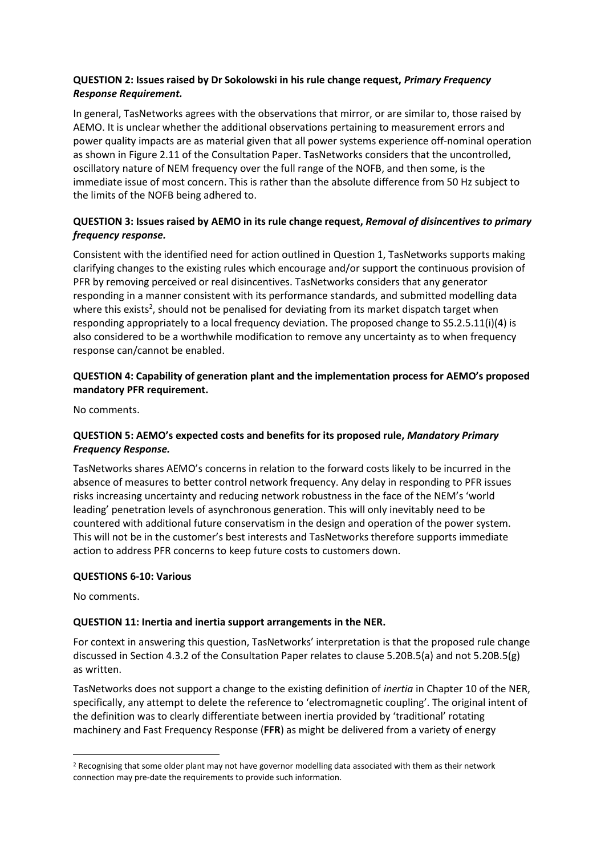## **QUESTION 2: Issues raised by Dr Sokolowski in his rule change request,** *Primary Frequency Response Requirement.*

In general, TasNetworks agrees with the observations that mirror, or are similar to, those raised by AEMO. It is unclear whether the additional observations pertaining to measurement errors and power quality impacts are as material given that all power systems experience off-nominal operation as shown in Figure 2.11 of the Consultation Paper. TasNetworks considers that the uncontrolled, oscillatory nature of NEM frequency over the full range of the NOFB, and then some, is the immediate issue of most concern. This is rather than the absolute difference from 50 Hz subject to the limits of the NOFB being adhered to.

# **QUESTION 3: Issues raised by AEMO in its rule change request,** *Removal of disincentives to primary frequency response.*

Consistent with the identified need for action outlined in Question 1, TasNetworks supports making clarifying changes to the existing rules which encourage and/or support the continuous provision of PFR by removing perceived or real disincentives. TasNetworks considers that any generator responding in a manner consistent with its performance standards, and submitted modelling data where this exists<sup>2</sup>, should not be penalised for deviating from its market dispatch target when responding appropriately to a local frequency deviation. The proposed change to S5.2.5.11(i)(4) is also considered to be a worthwhile modification to remove any uncertainty as to when frequency response can/cannot be enabled.

#### **QUESTION 4: Capability of generation plant and the implementation process for AEMO's proposed mandatory PFR requirement.**

No comments.

## **QUESTION 5: AEMO's expected costs and benefits for its proposed rule,** *Mandatory Primary Frequency Response.*

TasNetworks shares AEMO's concerns in relation to the forward costs likely to be incurred in the absence of measures to better control network frequency. Any delay in responding to PFR issues risks increasing uncertainty and reducing network robustness in the face of the NEM's 'world leading' penetration levels of asynchronous generation. This will only inevitably need to be countered with additional future conservatism in the design and operation of the power system. This will not be in the customer's best interests and TasNetworks therefore supports immediate action to address PFR concerns to keep future costs to customers down.

## **QUESTIONS 6-10: Various**

No comments.

## **QUESTION 11: Inertia and inertia support arrangements in the NER.**

For context in answering this question, TasNetworks' interpretation is that the proposed rule change discussed in Section 4.3.2 of the Consultation Paper relates to clause 5.20B.5(a) and not 5.20B.5(g) as written.

TasNetworks does not support a change to the existing definition of *inertia* in Chapter 10 of the NER, specifically, any attempt to delete the reference to 'electromagnetic coupling'. The original intent of the definition was to clearly differentiate between inertia provided by 'traditional' rotating machinery and Fast Frequency Response (**FFR**) as might be delivered from a variety of energy

<sup>1</sup> <sup>2</sup> Recognising that some older plant may not have governor modelling data associated with them as their network connection may pre-date the requirements to provide such information.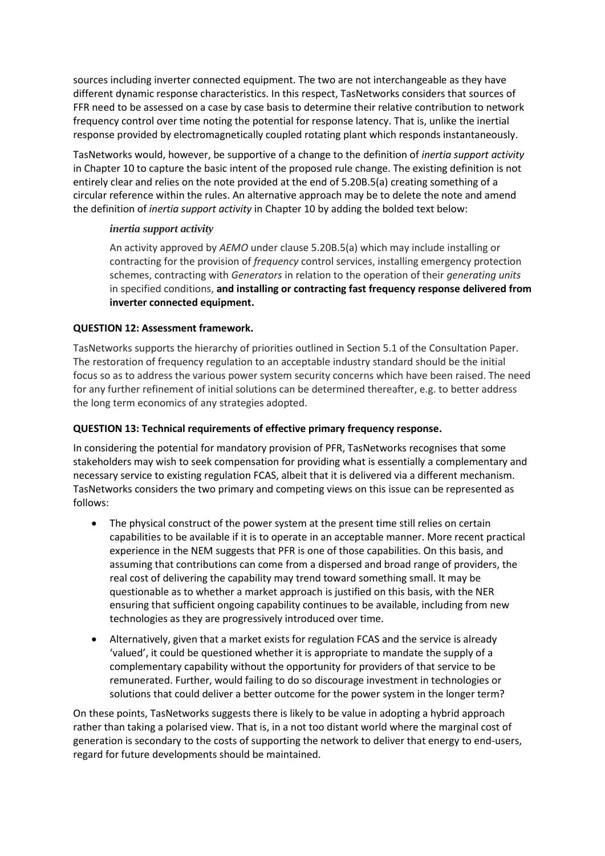sources including inverter connected equipment. The two are not interchangeable as they have different dynamic response characteristics. In this respect, TasNetworks considers that sources of FFR need to be assessed on a case by case basis to determine their relative contribution to network frequency control over time noting the potential for response latency. That is, unlike the inertial response provided by electromagnetically coupled rotating plant which responds instantaneously.

TasNetworks would, however, be supportive of a change to the definition of *inertia support activity* in Chapter 10 to capture the basic intent of the proposed rule change. The existing definition is not entirely clear and relies on the note provided at the end of 5.20B.5(a) creating something of a circular reference within the rules. An alternative approach may be to delete the note and amend the definition of *inertia support activity* in Chapter 10 by adding the bolded text below:

#### *inertia support activity*

An activity approved by *AEMO* under clause 5.20B.5(a) which may include installing or contracting for the provision of *frequency* control services, installing emergency protection schemes, contracting with *Generators* in relation to the operation of their *generating units*  in specified conditions, **and installing or contracting fast frequency response delivered from inverter connected equipment.**

## **QUESTION 12: Assessment framework.**

TasNetworks supports the hierarchy of priorities outlined in Section 5.1 of the Consultation Paper. The restoration of frequency regulation to an acceptable industry standard should be the initial focus so as to address the various power system security concerns which have been raised. The need for any further refinement of initial solutions can be determined thereafter, e.g. to better address the long term economics of any strategies adopted.

# **QUESTION 13: Technical requirements of effective primary frequency response.**

In considering the potential for mandatory provision of PFR, TasNetworks recognises that some stakeholders may wish to seek compensation for providing what is essentially a complementary and necessary service to existing regulation FCAS, albeit that it is delivered via a different mechanism. TasNetworks considers the two primary and competing views on this issue can be represented as follows:

- The physical construct of the power system at the present time still relies on certain capabilities to be available if it is to operate in an acceptable manner. More recent practical experience in the NEM suggests that PFR is one of those capabilities. On this basis, and assuming that contributions can come from a dispersed and broad range of providers, the real cost of delivering the capability may trend toward something small. It may be questionable as to whether a market approach is justified on this basis, with the NER ensuring that sufficient ongoing capability continues to be available, including from new technologies as they are progressively introduced over time.
- Alternatively, given that a market exists for regulation FCAS and the service is already 'valued', it could be questioned whether it is appropriate to mandate the supply of a complementary capability without the opportunity for providers of that service to be remunerated. Further, would failing to do so discourage investment in technologies or solutions that could deliver a better outcome for the power system in the longer term?

On these points, TasNetworks suggests there is likely to be value in adopting a hybrid approach rather than taking a polarised view. That is, in a not too distant world where the marginal cost of generation is secondary to the costs of supporting the network to deliver that energy to end-users, regard for future developments should be maintained.